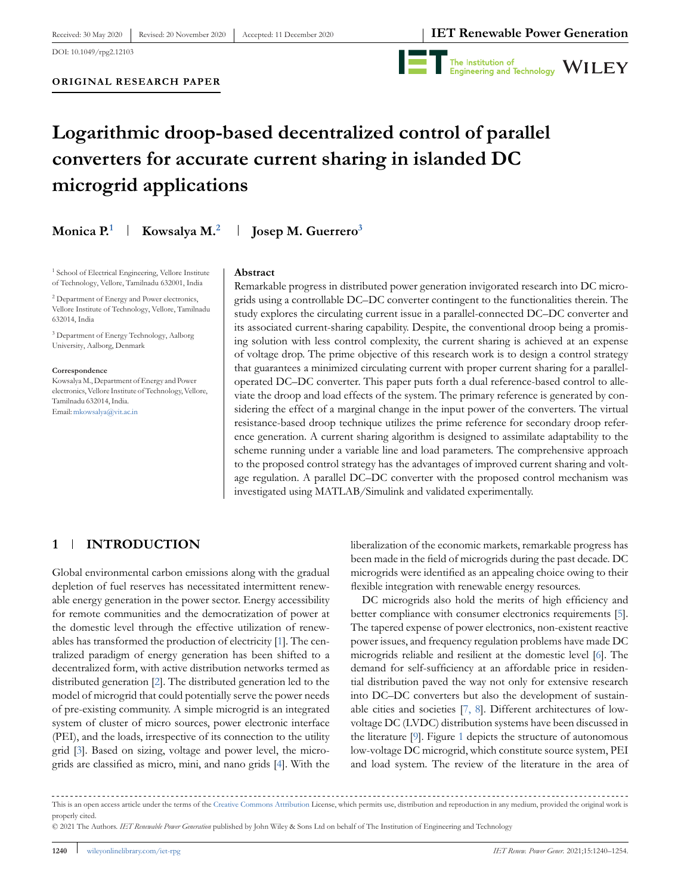DOI: 10.1049/rpg2.12103



# **Logarithmic droop-based decentralized control of parallel converters for accurate current sharing in islanded DC microgrid applications**

#### **Monica P.<sup>1</sup> Kowsalya M.<sup>2</sup> Josep M. Guerrero<sup>3</sup>**

<sup>1</sup> School of Electrical Engineering, Vellore Institute of Technology, Vellore, Tamilnadu 632001, India

<sup>2</sup> Department of Energy and Power electronics, Vellore Institute of Technology, Vellore, Tamilnadu 632014, India

<sup>3</sup> Department of Energy Technology, Aalborg University, Aalborg, Denmark

**Correspondence** Kowsalya M., Department of Energy and Power electronics, Vellore Institute of Technology, Vellore, Tamilnadu 632014, India. Email:mkowsalya@vit.ac.in

### **Abstract**

Remarkable progress in distributed power generation invigorated research into DC microgrids using a controllable DC–DC converter contingent to the functionalities therein. The study explores the circulating current issue in a parallel-connected DC–DC converter and its associated current-sharing capability. Despite, the conventional droop being a promising solution with less control complexity, the current sharing is achieved at an expense of voltage drop. The prime objective of this research work is to design a control strategy that guarantees a minimized circulating current with proper current sharing for a paralleloperated DC–DC converter. This paper puts forth a dual reference-based control to alleviate the droop and load effects of the system. The primary reference is generated by considering the effect of a marginal change in the input power of the converters. The virtual resistance-based droop technique utilizes the prime reference for secondary droop reference generation. A current sharing algorithm is designed to assimilate adaptability to the scheme running under a variable line and load parameters. The comprehensive approach to the proposed control strategy has the advantages of improved current sharing and voltage regulation. A parallel DC–DC converter with the proposed control mechanism was investigated using MATLAB/Simulink and validated experimentally.

### **1 INTRODUCTION**

Global environmental carbon emissions along with the gradual depletion of fuel reserves has necessitated intermittent renewable energy generation in the power sector. Energy accessibility for remote communities and the democratization of power at the domestic level through the effective utilization of renewables has transformed the production of electricity [1]. The centralized paradigm of energy generation has been shifted to a decentralized form, with active distribution networks termed as distributed generation [2]. The distributed generation led to the model of microgrid that could potentially serve the power needs of pre-existing community. A simple microgrid is an integrated system of cluster of micro sources, power electronic interface (PEI), and the loads, irrespective of its connection to the utility grid [3]. Based on sizing, voltage and power level, the microgrids are classified as micro, mini, and nano grids [4]. With the

liberalization of the economic markets, remarkable progress has been made in the field of microgrids during the past decade. DC microgrids were identified as an appealing choice owing to their flexible integration with renewable energy resources.

DC microgrids also hold the merits of high efficiency and better compliance with consumer electronics requirements [5]. The tapered expense of power electronics, non-existent reactive power issues, and frequency regulation problems have made DC microgrids reliable and resilient at the domestic level [6]. The demand for self-sufficiency at an affordable price in residential distribution paved the way not only for extensive research into DC–DC converters but also the development of sustainable cities and societies [7, 8]. Different architectures of lowvoltage DC (LVDC) distribution systems have been discussed in the literature [9]. Figure 1 depicts the structure of autonomous low-voltage DC microgrid, which constitute source system, PEI and load system. The review of the literature in the area of

This is an open access article under the terms of the Creative Commons Attribution License, which permits use, distribution and reproduction in any medium, provided the original work is properly cited.

<sup>© 2021</sup> The Authors. *IET Renewable Power Generation* published by John Wiley & Sons Ltd on behalf of The Institution of Engineering and Technology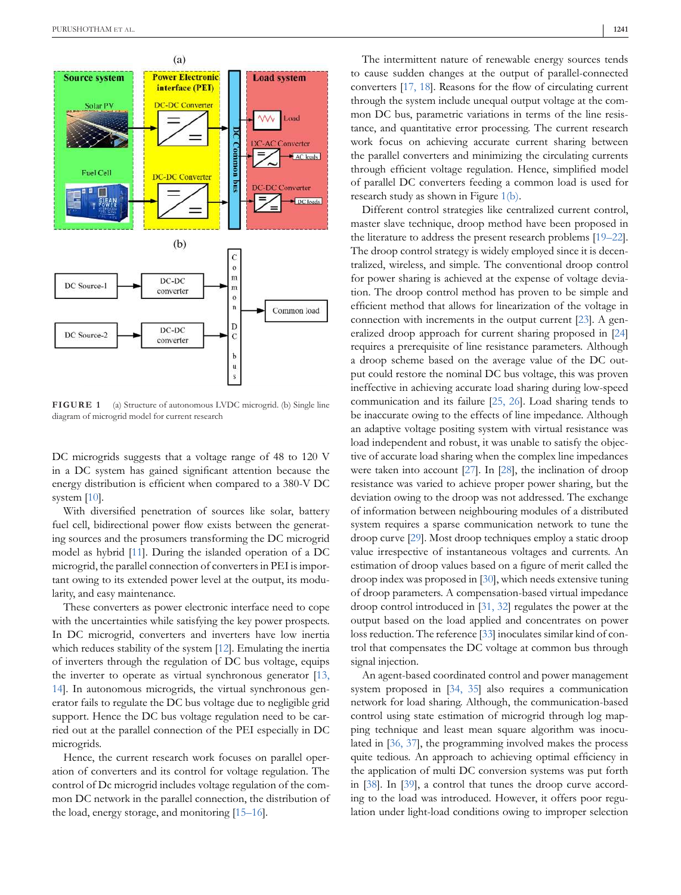

**FIGURE 1** (a) Structure of autonomous LVDC microgrid. (b) Single line diagram of microgrid model for current research

DC microgrids suggests that a voltage range of 48 to 120 V in a DC system has gained significant attention because the energy distribution is efficient when compared to a 380-V DC system [10].

With diversified penetration of sources like solar, battery fuel cell, bidirectional power flow exists between the generating sources and the prosumers transforming the DC microgrid model as hybrid [11]. During the islanded operation of a DC microgrid, the parallel connection of converters in PEI is important owing to its extended power level at the output, its modularity, and easy maintenance.

These converters as power electronic interface need to cope with the uncertainties while satisfying the key power prospects. In DC microgrid, converters and inverters have low inertia which reduces stability of the system [12]. Emulating the inertia of inverters through the regulation of DC bus voltage, equips the inverter to operate as virtual synchronous generator [13, 14]. In autonomous microgrids, the virtual synchronous generator fails to regulate the DC bus voltage due to negligible grid support. Hence the DC bus voltage regulation need to be carried out at the parallel connection of the PEI especially in DC microgrids.

Hence, the current research work focuses on parallel operation of converters and its control for voltage regulation. The control of Dc microgrid includes voltage regulation of the common DC network in the parallel connection, the distribution of the load, energy storage, and monitoring [15–16].

The intermittent nature of renewable energy sources tends to cause sudden changes at the output of parallel-connected converters [17, 18]. Reasons for the flow of circulating current through the system include unequal output voltage at the common DC bus, parametric variations in terms of the line resistance, and quantitative error processing. The current research work focus on achieving accurate current sharing between the parallel converters and minimizing the circulating currents through efficient voltage regulation. Hence, simplified model of parallel DC converters feeding a common load is used for research study as shown in Figure 1(b).

Different control strategies like centralized current control, master slave technique, droop method have been proposed in the literature to address the present research problems [19–22]. The droop control strategy is widely employed since it is decentralized, wireless, and simple. The conventional droop control for power sharing is achieved at the expense of voltage deviation. The droop control method has proven to be simple and efficient method that allows for linearization of the voltage in connection with increments in the output current [23]. A generalized droop approach for current sharing proposed in [24] requires a prerequisite of line resistance parameters. Although a droop scheme based on the average value of the DC output could restore the nominal DC bus voltage, this was proven ineffective in achieving accurate load sharing during low-speed communication and its failure [25, 26]. Load sharing tends to be inaccurate owing to the effects of line impedance. Although an adaptive voltage positing system with virtual resistance was load independent and robust, it was unable to satisfy the objective of accurate load sharing when the complex line impedances were taken into account [27]. In [28], the inclination of droop resistance was varied to achieve proper power sharing, but the deviation owing to the droop was not addressed. The exchange of information between neighbouring modules of a distributed system requires a sparse communication network to tune the droop curve [29]. Most droop techniques employ a static droop value irrespective of instantaneous voltages and currents. An estimation of droop values based on a figure of merit called the droop index was proposed in [30], which needs extensive tuning of droop parameters. A compensation-based virtual impedance droop control introduced in [31, 32] regulates the power at the output based on the load applied and concentrates on power loss reduction. The reference [33] inoculates similar kind of control that compensates the DC voltage at common bus through signal injection.

An agent-based coordinated control and power management system proposed in [34, 35] also requires a communication network for load sharing. Although, the communication-based control using state estimation of microgrid through log mapping technique and least mean square algorithm was inoculated in [36, 37], the programming involved makes the process quite tedious. An approach to achieving optimal efficiency in the application of multi DC conversion systems was put forth in [38]. In [39], a control that tunes the droop curve according to the load was introduced. However, it offers poor regulation under light-load conditions owing to improper selection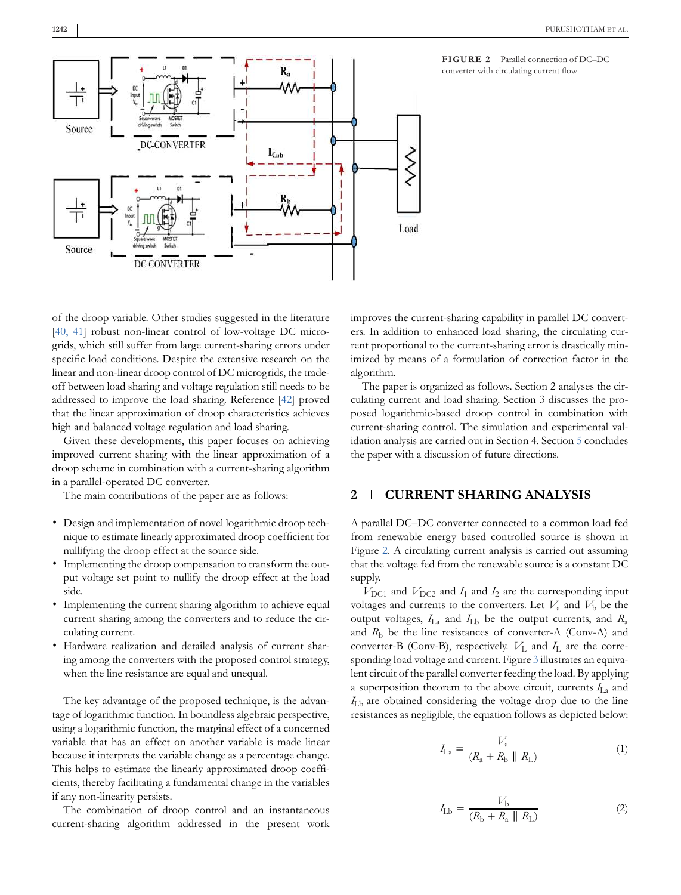



of the droop variable. Other studies suggested in the literature [40, 41] robust non-linear control of low-voltage DC microgrids, which still suffer from large current-sharing errors under specific load conditions. Despite the extensive research on the linear and non-linear droop control of DC microgrids, the tradeoff between load sharing and voltage regulation still needs to be addressed to improve the load sharing. Reference [42] proved that the linear approximation of droop characteristics achieves high and balanced voltage regulation and load sharing.

Given these developments, this paper focuses on achieving improved current sharing with the linear approximation of a droop scheme in combination with a current-sharing algorithm in a parallel-operated DC converter.

The main contributions of the paper are as follows:

- ∙ Design and implementation of novel logarithmic droop technique to estimate linearly approximated droop coefficient for nullifying the droop effect at the source side.
- ∙ Implementing the droop compensation to transform the output voltage set point to nullify the droop effect at the load side.
- ∙ Implementing the current sharing algorithm to achieve equal current sharing among the converters and to reduce the circulating current.
- ∙ Hardware realization and detailed analysis of current sharing among the converters with the proposed control strategy, when the line resistance are equal and unequal.

The key advantage of the proposed technique, is the advantage of logarithmic function. In boundless algebraic perspective, using a logarithmic function, the marginal effect of a concerned variable that has an effect on another variable is made linear because it interprets the variable change as a percentage change. This helps to estimate the linearly approximated droop coefficients, thereby facilitating a fundamental change in the variables if any non-linearity persists.

The combination of droop control and an instantaneous current-sharing algorithm addressed in the present work improves the current-sharing capability in parallel DC converters. In addition to enhanced load sharing, the circulating current proportional to the current-sharing error is drastically minimized by means of a formulation of correction factor in the algorithm.

The paper is organized as follows. Section 2 analyses the circulating current and load sharing. Section 3 discusses the proposed logarithmic-based droop control in combination with current-sharing control. The simulation and experimental validation analysis are carried out in Section 4. Section 5 concludes the paper with a discussion of future directions.

### **2 CURRENT SHARING ANALYSIS**

A parallel DC–DC converter connected to a common load fed from renewable energy based controlled source is shown in Figure 2. A circulating current analysis is carried out assuming that the voltage fed from the renewable source is a constant DC supply.

 $V_{\text{DC1}}$  and  $V_{\text{DC2}}$  and  $I_1$  and  $I_2$  are the corresponding input voltages and currents to the converters. Let  $V_{\rm a}$  and  $V_{\rm b}$  be the output voltages,  $I_{\text{La}}$  and  $I_{\text{Lb}}$  be the output currents, and  $R_{\text{a}}$ and  $R<sub>b</sub>$  be the line resistances of converter-A (Conv-A) and converter-B (Conv-B), respectively.  $V_L$  and  $I_L$  are the corresponding load voltage and current. Figure 3 illustrates an equivalent circuit of the parallel converter feeding the load. By applying a superposition theorem to the above circuit, currents  $I_{\text{La}}$  and  $I_{\text{Lb}}$  are obtained considering the voltage drop due to the line resistances as negligible, the equation follows as depicted below:

$$
I_{\rm La} = \frac{V_{\rm a}}{(R_{\rm a} + R_{\rm b} \parallel R_{\rm L})}
$$
 (1)

$$
I_{\rm Lb} = \frac{V_{\rm b}}{(R_{\rm b} + R_{\rm a} \parallel R_{\rm L})}
$$
 (2)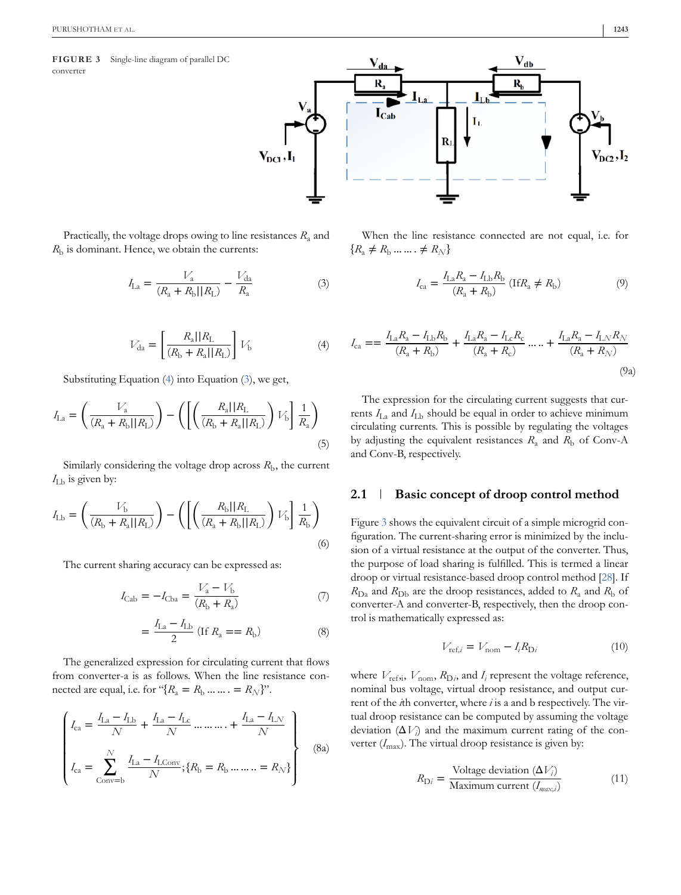#### **FIGURE 3** Single-line diagram of parallel DC converter



Practically, the voltage drops owing to line resistances *R*<sup>a</sup> and  $R<sub>b</sub>$  is dominant. Hence, we obtain the currents:

$$
I_{\text{La}} = \frac{V_{\text{a}}}{(R_{\text{a}} + R_{\text{b}} || R_{\text{L}})} - \frac{V_{\text{da}}}{R_{\text{a}}}
$$
(3)

$$
V_{\rm da} = \left[\frac{R_{\rm a}||R_{\rm L}}{(R_{\rm b} + R_{\rm a}||R_{\rm L})}\right]V_{\rm b}
$$
 (4)

Substituting Equation (4) into Equation (3), we get,

$$
I_{\rm La} = \left(\frac{V_{\rm a}}{(R_{\rm a} + R_{\rm b}||R_{\rm L})}\right) - \left(\left[\left(\frac{R_{\rm a}||R_{\rm L}}{(R_{\rm b} + R_{\rm a}||R_{\rm L})}\right)V_{\rm b}\right]\frac{1}{R_{\rm a}}\right) \tag{5}
$$

Similarly considering the voltage drop across  $R<sub>b</sub>$ , the current  $I_{\text{Lb}}$  is given by:

$$
I_{\rm Lb} = \left(\frac{V_{\rm b}}{(R_{\rm b} + R_{\rm a}||R_{\rm L})}\right) - \left(\left[\left(\frac{R_{\rm b}||R_{\rm L}}{(R_{\rm a} + R_{\rm b}||R_{\rm L})}\right)V_{\rm b}\right]\frac{1}{R_{\rm b}}\right) \tag{6}
$$

The current sharing accuracy can be expressed as:

$$
I_{\text{Cab}} = -I_{\text{Cba}} = \frac{V_a - V_b}{(R_b + R_a)}\tag{7}
$$

$$
= \frac{I_{\text{La}} - I_{\text{Lb}}}{2} \left( \text{If } R_{\text{a}} = R_{\text{b}} \right) \tag{8}
$$

The generalized expression for circulating current that flows from converter-a is as follows. When the line resistance connected are equal, i.e. for "{ $R_{a} = R_{b} ... ... = R_{N}$ }".

$$
\begin{cases}\nI_{ca} = \frac{I_{La} - I_{Lb}}{N} + \frac{I_{La} - I_{Lc}}{N} \dots \dots \dots + \frac{I_{La} - I_{LN}}{N} \\
I_{ca} = \sum_{Conv = b}^{N} \frac{I_{La} - I_{LConv}}{N}; \{R_b = R_b \dots \dots = R_N\}\n\end{cases}
$$
\n(8a)

When the line resistance connected are not equal, i.e. for  ${R_{\rm a} \neq R_{\rm b} \dots \dots \neq R_N}$ 

$$
I_{ca} = \frac{I_{La}R_a - I_{Lb}R_b}{(R_a + R_b)} \left( \text{If} R_a \neq R_b \right) \tag{9}
$$

$$
I_{ca} = = \frac{I_{La}R_a - I_{Lb}R_b}{(R_a + R_b)} + \frac{I_{La}R_a - I_{Lc}R_c}{(R_a + R_c)} + \frac{I_{La}R_a - I_{LN}R_N}{(R_a + R_N)}
$$
\n(9a)

The expression for the circulating current suggests that currents  $I_{\text{La}}$  and  $I_{\text{Lb}}$  should be equal in order to achieve minimum circulating currents. This is possible by regulating the voltages by adjusting the equivalent resistances  $R_{\rm a}$  and  $R_{\rm b}$  of Conv-A and Conv-B, respectively.

### **2.1 Basic concept of droop control method**

Figure 3 shows the equivalent circuit of a simple microgrid configuration. The current-sharing error is minimized by the inclusion of a virtual resistance at the output of the converter. Thus, the purpose of load sharing is fulfilled. This is termed a linear droop or virtual resistance-based droop control method [28]. If  $R_{\text{Da}}$  and  $R_{\text{Db}}$  are the droop resistances, added to  $R_{\text{a}}$  and  $R_{\text{b}}$  of converter-A and converter-B, respectively, then the droop control is mathematically expressed as:

$$
V_{\text{ref},i} = V_{\text{nom}} - I_i R_{\text{D}i} \tag{10}
$$

where  $V_{\text{ref,i}}$ ,  $V_{\text{nom}}$ ,  $R_{\text{D}i}$ , and  $I_i$  represent the voltage reference, nominal bus voltage, virtual droop resistance, and output current of the *i*th converter, where *i* is a and b respectively. The virtual droop resistance can be computed by assuming the voltage deviation  $(\Delta V_i)$  and the maximum current rating of the converter (*I*<sub>max</sub>). The virtual droop resistance is given by:

$$
R_{\text{D}i} = \frac{\text{Voltage deviation } (\Delta V_i)}{\text{Maximum current } (I_{\text{max},i})}
$$
(11)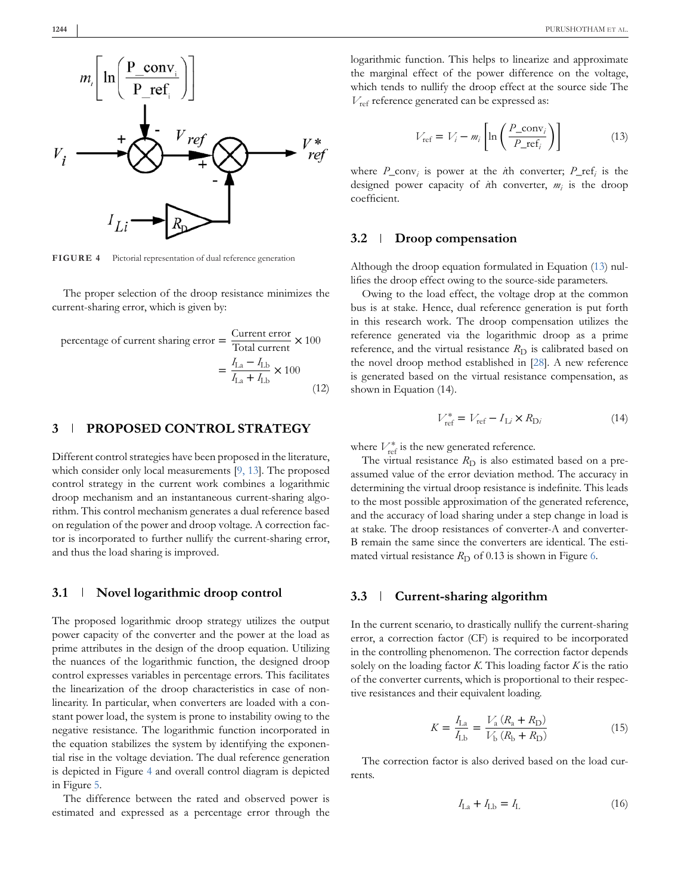

**FIGURE 4** Pictorial representation of dual reference generation

The proper selection of the droop resistance minimizes the current-sharing error, which is given by:

percentage of current sharing error = 
$$
\frac{\text{Current error}}{\text{Total current}} \times 100
$$

$$
= \frac{I_{\text{La}} - I_{\text{Lb}}}{I_{\text{La}} + I_{\text{Lb}}} \times 100
$$
(12)

### **3 PROPOSED CONTROL STRATEGY**

Different control strategies have been proposed in the literature, which consider only local measurements [9, 13]. The proposed control strategy in the current work combines a logarithmic droop mechanism and an instantaneous current-sharing algorithm. This control mechanism generates a dual reference based on regulation of the power and droop voltage. A correction factor is incorporated to further nullify the current-sharing error, and thus the load sharing is improved.

### **3.1 Novel logarithmic droop control**

The proposed logarithmic droop strategy utilizes the output power capacity of the converter and the power at the load as prime attributes in the design of the droop equation. Utilizing the nuances of the logarithmic function, the designed droop control expresses variables in percentage errors. This facilitates the linearization of the droop characteristics in case of nonlinearity. In particular, when converters are loaded with a constant power load, the system is prone to instability owing to the negative resistance. The logarithmic function incorporated in the equation stabilizes the system by identifying the exponential rise in the voltage deviation. The dual reference generation is depicted in Figure 4 and overall control diagram is depicted in Figure 5.

The difference between the rated and observed power is estimated and expressed as a percentage error through the logarithmic function. This helps to linearize and approximate the marginal effect of the power difference on the voltage, which tends to nullify the droop effect at the source side The *V*ref reference generated can be expressed as:

$$
V_{\text{ref}} = V_i - m_i \left[ \ln \left( \frac{P_{\text{conv}_i}}{P_{\text{ref}_i}} \right) \right]
$$
 (13)

where  $P_{\text{conv}_i}$  is power at the *i*th converter;  $P_{\text{ref}_i}$  is the designed power capacity of *i*th converter, *m<sup>i</sup>* is the droop coefficient.

### **3.2 Droop compensation**

Although the droop equation formulated in Equation (13) nullifies the droop effect owing to the source-side parameters.

Owing to the load effect, the voltage drop at the common bus is at stake. Hence, dual reference generation is put forth in this research work. The droop compensation utilizes the reference generated via the logarithmic droop as a prime reference, and the virtual resistance  $R_D$  is calibrated based on the novel droop method established in [28]. A new reference is generated based on the virtual resistance compensation, as shown in Equation (14).

$$
V_{\text{ref}}^* = V_{\text{ref}} - I_{\text{Li}} \times R_{\text{D}i}
$$
 (14)

where  $V_{\text{ref}}^*$  is the new generated reference.

The virtual resistance  $R_D$  is also estimated based on a preassumed value of the error deviation method. The accuracy in determining the virtual droop resistance is indefinite. This leads to the most possible approximation of the generated reference, and the accuracy of load sharing under a step change in load is at stake. The droop resistances of converter-A and converter-B remain the same since the converters are identical. The estimated virtual resistance  $R_D$  of 0.13 is shown in Figure 6.

### **3.3 Current-sharing algorithm**

In the current scenario, to drastically nullify the current-sharing error, a correction factor (CF) is required to be incorporated in the controlling phenomenon. The correction factor depends solely on the loading factor *K*. This loading factor *K* is the ratio of the converter currents, which is proportional to their respective resistances and their equivalent loading.

$$
K = \frac{I_{\rm La}}{I_{\rm Lb}} = \frac{V_a (R_a + R_{\rm D})}{V_{\rm b} (R_{\rm b} + R_{\rm D})}
$$
(15)

The correction factor is also derived based on the load currents.

$$
I_{\text{La}} + I_{\text{Lb}} = I_{\text{L}} \tag{16}
$$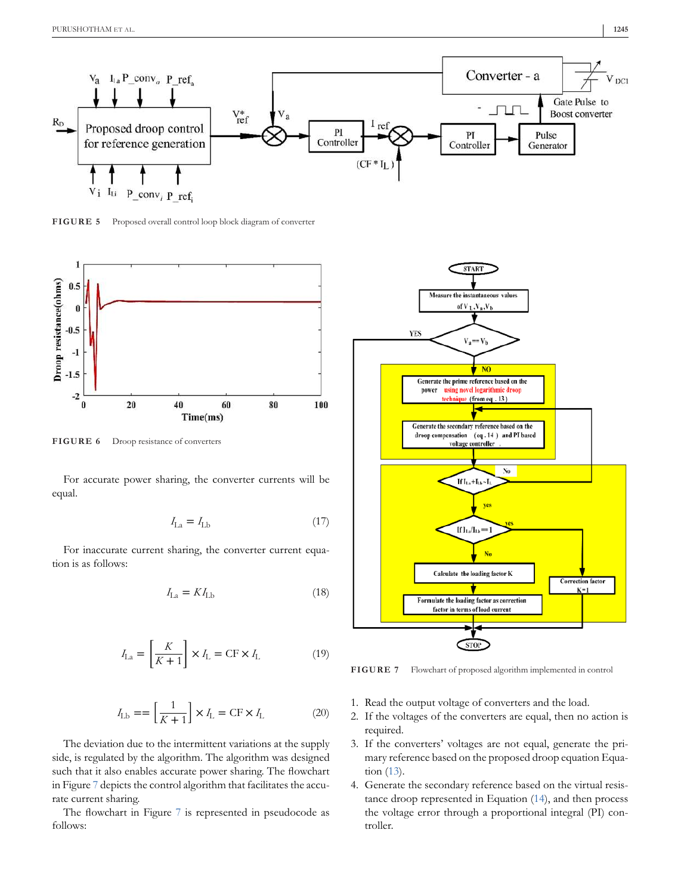

**FIGURE 5** Proposed overall control loop block diagram of converter



**FIGURE 6** Droop resistance of converters

For accurate power sharing, the converter currents will be equal.

$$
I_{\text{La}} = I_{\text{Lb}} \tag{17}
$$

For inaccurate current sharing, the converter current equation is as follows:

$$
I_{\text{La}} = K I_{\text{Lb}} \tag{18}
$$

$$
I_{\text{La}} = \left[\frac{K}{K+1}\right] \times I_{\text{L}} = \text{CF} \times I_{\text{L}}
$$
 (19)

$$
I_{\text{Lb}} = = \left[\frac{1}{K+1}\right] \times I_{\text{L}} = \text{CF} \times I_{\text{L}}
$$
 (20)

The deviation due to the intermittent variations at the supply side, is regulated by the algorithm. The algorithm was designed such that it also enables accurate power sharing. The flowchart in Figure 7 depicts the control algorithm that facilitates the accurate current sharing.

The flowchart in Figure 7 is represented in pseudocode as follows:



**FIGURE 7** Flowchart of proposed algorithm implemented in control

- 1. Read the output voltage of converters and the load.
- 2. If the voltages of the converters are equal, then no action is required.
- 3. If the converters' voltages are not equal, generate the primary reference based on the proposed droop equation Equation (13).
- 4. Generate the secondary reference based on the virtual resistance droop represented in Equation (14), and then process the voltage error through a proportional integral (PI) controller.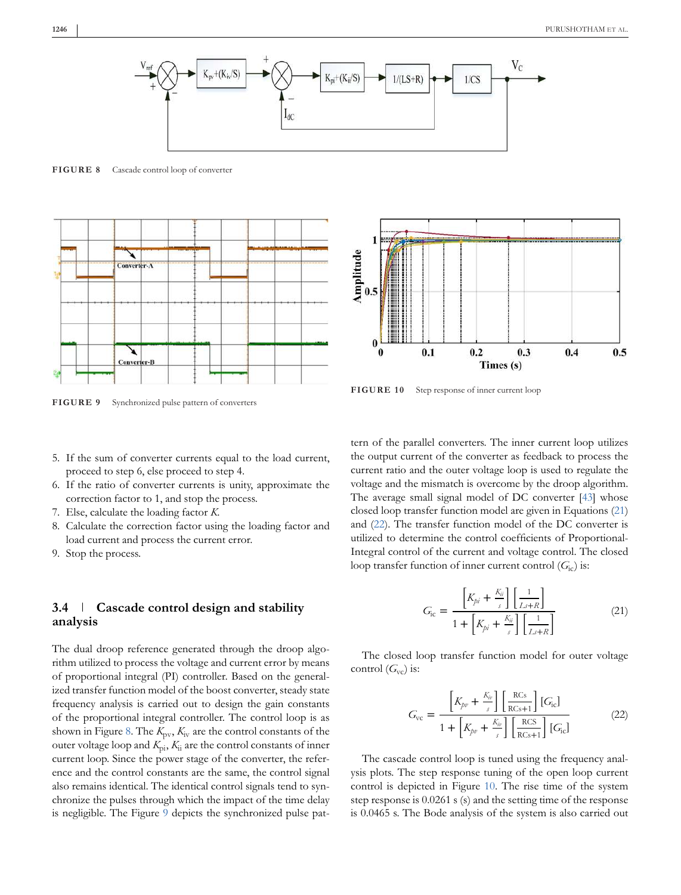

**FIGURE 8** Cascade control loop of converter



**FIGURE 9** Synchronized pulse pattern of converters



**FIGURE 10** Step response of inner current loop

- 5. If the sum of converter currents equal to the load current, proceed to step 6, else proceed to step 4.
- 6. If the ratio of converter currents is unity, approximate the correction factor to 1, and stop the process.
- 7. Else, calculate the loading factor *K*.
- 8. Calculate the correction factor using the loading factor and load current and process the current error.
- 9. Stop the process.

### **3.4 Cascade control design and stability analysis**

The dual droop reference generated through the droop algorithm utilized to process the voltage and current error by means of proportional integral (PI) controller. Based on the generalized transfer function model of the boost converter, steady state frequency analysis is carried out to design the gain constants of the proportional integral controller. The control loop is as shown in Figure 8. The  $K_{\text{pv}}$ ,  $K_{\text{iv}}$  are the control constants of the outer voltage loop and  $K_{pi}$ ,  $K_{ii}$  are the control constants of inner current loop. Since the power stage of the converter, the reference and the control constants are the same, the control signal also remains identical. The identical control signals tend to synchronize the pulses through which the impact of the time delay is negligible. The Figure 9 depicts the synchronized pulse pat-

tern of the parallel converters. The inner current loop utilizes the output current of the converter as feedback to process the current ratio and the outer voltage loop is used to regulate the voltage and the mismatch is overcome by the droop algorithm. The average small signal model of DC converter [43] whose closed loop transfer function model are given in Equations (21) and (22). The transfer function model of the DC converter is utilized to determine the control coefficients of Proportional-Integral control of the current and voltage control. The closed loop transfer function of inner current control ( $G<sub>ic</sub>$ ) is:

$$
G_{\rm ic} = \frac{\left[K_{pi} + \frac{K_{ij}}{s}\right] \left[\frac{1}{L_s + R}\right]}{1 + \left[K_{pi} + \frac{K_{ij}}{s}\right] \left[\frac{1}{L_s + R}\right]}
$$
(21)

The closed loop transfer function model for outer voltage control  $(G_{\text{vc}})$  is:

$$
G_{\rm vc} = \frac{\left[K_{pv} + \frac{K_{iv}}{s}\right] \left[\frac{\rm RCs}{\rm RCs+1}\right] [G_{\rm ic}]}{1 + \left[K_{pv} + \frac{K_{iv}}{s}\right] \left[\frac{\rm RCs}{\rm RCs+1}\right] [G_{\rm ic}]}
$$
(22)

The cascade control loop is tuned using the frequency analysis plots. The step response tuning of the open loop current control is depicted in Figure 10. The rise time of the system step response is 0.0261 s (s) and the setting time of the response is 0.0465 s. The Bode analysis of the system is also carried out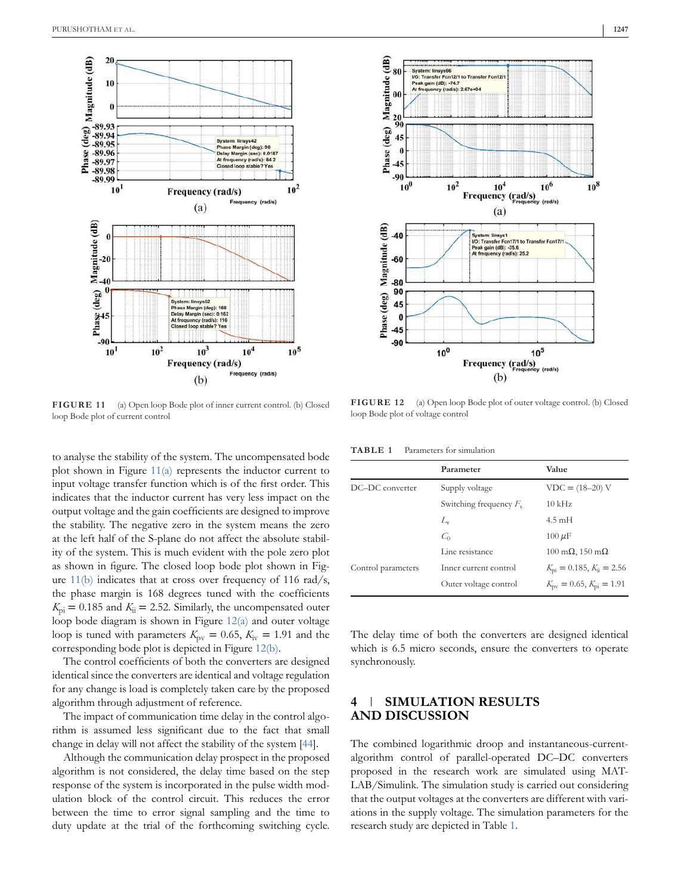

**FIGURE 11** (a) Open loop Bode plot of inner current control. (b) Closed loop Bode plot of current control

to analyse the stability of the system. The uncompensated bode plot shown in Figure  $11(a)$  represents the inductor current to input voltage transfer function which is of the first order. This indicates that the inductor current has very less impact on the output voltage and the gain coefficients are designed to improve the stability. The negative zero in the system means the zero at the left half of the S-plane do not affect the absolute stability of the system. This is much evident with the pole zero plot as shown in figure. The closed loop bode plot shown in Figure  $11(b)$  indicates that at cross over frequency of 116 rad/s, the phase margin is 168 degrees tuned with the coefficients  $K_{\text{pi}} = 0.185$  and  $K_{\text{ii}} = 2.52$ . Similarly, the uncompensated outer loop bode diagram is shown in Figure 12(a) and outer voltage loop is tuned with parameters  $K_{\text{pv}} = 0.65$ ,  $K_{\text{iv}} = 1.91$  and the corresponding bode plot is depicted in Figure 12(b).

The control coefficients of both the converters are designed identical since the converters are identical and voltage regulation for any change is load is completely taken care by the proposed algorithm through adjustment of reference.

The impact of communication time delay in the control algorithm is assumed less significant due to the fact that small change in delay will not affect the stability of the system [44].

Although the communication delay prospect in the proposed algorithm is not considered, the delay time based on the step response of the system is incorporated in the pulse width modulation block of the control circuit. This reduces the error between the time to error signal sampling and the time to duty update at the trial of the forthcoming switching cycle.



**FIGURE 12** (a) Open loop Bode plot of outer voltage control. (b) Closed loop Bode plot of voltage control

**TABLE 1** Parameters for simulation

|                    | Parameter                   | Value                                         |
|--------------------|-----------------------------|-----------------------------------------------|
| DC-DC converter    | Supply voltage              | $VDC = (18-20) V$                             |
|                    | Switching frequency $F_{s}$ | $10$ kHz                                      |
|                    | $L_{\rm r}$                 | $4.5 \text{ mH}$                              |
|                    | $C_0$                       | $100 \mu F$                                   |
|                    | Line resistance             | $100 \text{ m}\Omega$ , $150 \text{ m}\Omega$ |
| Control parameters | Inner current control       | $K_{\text{ni}} = 0.185, K_{\text{ii}} = 2.56$ |
|                    | Outer voltage control       | $K_{\text{by}} = 0.65, K_{\text{pi}} = 1.91$  |

The delay time of both the converters are designed identical which is 6.5 micro seconds, ensure the converters to operate synchronously.

## **4 SIMULATION RESULTS AND DISCUSSION**

The combined logarithmic droop and instantaneous-currentalgorithm control of parallel-operated DC–DC converters proposed in the research work are simulated using MAT-LAB/Simulink. The simulation study is carried out considering that the output voltages at the converters are different with variations in the supply voltage. The simulation parameters for the research study are depicted in Table 1.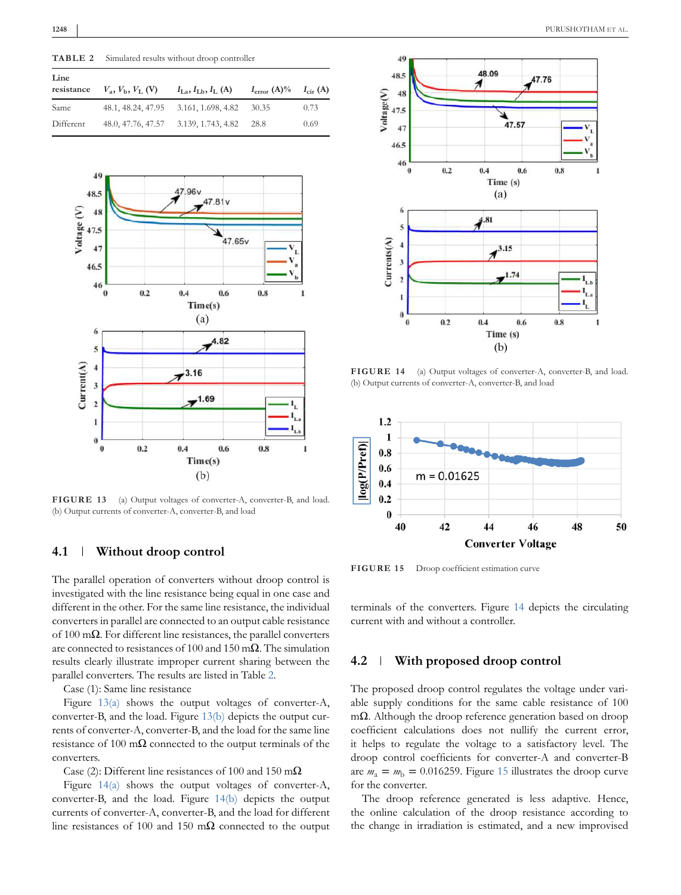**TABLE 2** Simulated results without droop controller

| Line<br>resistance | $V_{\rm a}, V_{\rm b}, V_{\rm L}$ (V) | $I_{\text{La}}, I_{\text{Lb}}, I_{\text{L}}$ (A) | $I_{\text{error}}(A)\%$ $I_{\text{cir}}(A)$ |      |
|--------------------|---------------------------------------|--------------------------------------------------|---------------------------------------------|------|
| Same               |                                       | 48.1, 48.24, 47.95 3.161, 1.698, 4.82 30.35      |                                             | 0.73 |
| Different          |                                       | 48.0, 47.76, 47.57 3.139, 1.743, 4.82 28.8       |                                             | 0.69 |



**FIGURE 13** (a) Output voltages of converter-A, converter-B, and load. (b) Output currents of converter-A, converter-B, and load

#### **4.1 Without droop control**

The parallel operation of converters without droop control is investigated with the line resistance being equal in one case and different in the other. For the same line resistance, the individual converters in parallel are connected to an output cable resistance of 100 m $\Omega$ . For different line resistances, the parallel converters are connected to resistances of 100 and 150 mΩ. The simulation results clearly illustrate improper current sharing between the parallel converters. The results are listed in Table 2.

Case (1): Same line resistance

Figure 13(a) shows the output voltages of converter-A, converter-B, and the load. Figure 13(b) depicts the output currents of converter-A, converter-B, and the load for the same line resistance of 100 m $\Omega$  connected to the output terminals of the converters.

Case (2): Different line resistances of 100 and 150 m $\Omega$ 

Figure 14(a) shows the output voltages of converter-A, converter-B, and the load. Figure 14(b) depicts the output currents of converter-A, converter-B, and the load for different line resistances of 100 and 150 m $\Omega$  connected to the output



**FIGURE 14** (a) Output voltages of converter-A, converter-B, and load. (b) Output currents of converter-A, converter-B, and load



**FIGURE 15** Droop coefficient estimation curve

terminals of the converters. Figure 14 depicts the circulating current with and without a controller.

### **4.2 With proposed droop control**

The proposed droop control regulates the voltage under variable supply conditions for the same cable resistance of 100 mΩ. Although the droop reference generation based on droop coefficient calculations does not nullify the current error, it helps to regulate the voltage to a satisfactory level. The droop control coefficients for converter-A and converter-B are  $m_a = m_b = 0.016259$ . Figure 15 illustrates the droop curve for the converter.

The droop reference generated is less adaptive. Hence, the online calculation of the droop resistance according to the change in irradiation is estimated, and a new improvised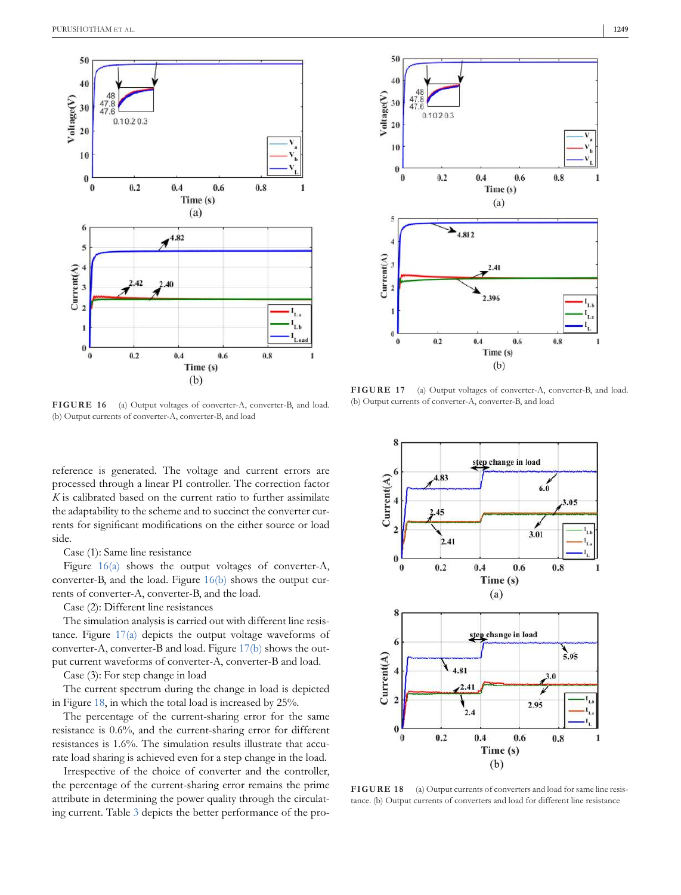

**FIGURE 16** (a) Output voltages of converter-A, converter-B, and load. (b) Output currents of converter-A, converter-B, and load

reference is generated. The voltage and current errors are processed through a linear PI controller. The correction factor *K* is calibrated based on the current ratio to further assimilate the adaptability to the scheme and to succinct the converter currents for significant modifications on the either source or load side.

Case (1): Same line resistance

Figure 16(a) shows the output voltages of converter-A, converter-B, and the load. Figure 16(b) shows the output currents of converter-A, converter-B, and the load.

Case (2): Different line resistances

The simulation analysis is carried out with different line resistance. Figure 17(a) depicts the output voltage waveforms of converter-A, converter-B and load. Figure 17(b) shows the output current waveforms of converter-A, converter-B and load.

Case (3): For step change in load

The current spectrum during the change in load is depicted in Figure 18, in which the total load is increased by 25%.

The percentage of the current-sharing error for the same resistance is 0.6%, and the current-sharing error for different resistances is 1.6%. The simulation results illustrate that accurate load sharing is achieved even for a step change in the load.

Irrespective of the choice of converter and the controller, the percentage of the current-sharing error remains the prime attribute in determining the power quality through the circulating current. Table 3 depicts the better performance of the pro-



**FIGURE 17** (a) Output voltages of converter-A, converter-B, and load. (b) Output currents of converter-A, converter-B, and load



**FIGURE 18** (a) Output currents of converters and load for same line resistance. (b) Output currents of converters and load for different line resistance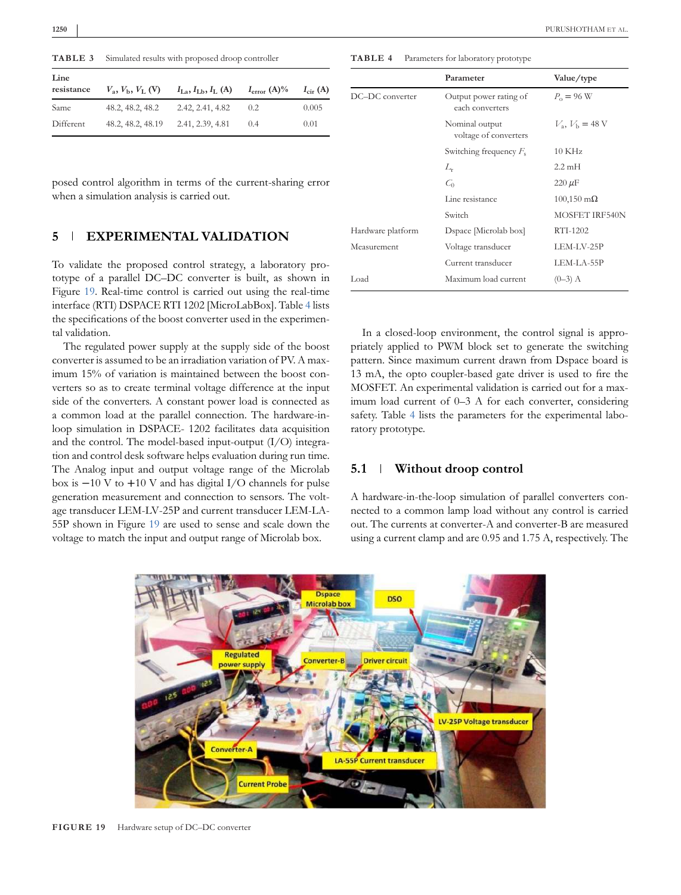**TABLE 3** Simulated results with proposed droop controller

| Line<br>resistance | $V_{\rm a}, V_{\rm b}, V_{\rm I}$ (V) | $I_{\rm La}$ , $I_{\rm I,b}$ , $I_{\rm L}$ (A) | $I_{\rm error}$ (A)% | $I_{\text{cir}}(\text{A})$ |
|--------------------|---------------------------------------|------------------------------------------------|----------------------|----------------------------|
| Same               | 48.2, 48.2, 48.2                      | 2.42, 2.41, 4.82                               | 0.2                  | 0.005                      |
| Different          | 48.2, 48.2, 48.19                     | 2.41, 2.39, 4.81                               | 04                   | 0.01                       |

posed control algorithm in terms of the current-sharing error when a simulation analysis is carried out.

### **5 EXPERIMENTAL VALIDATION**

To validate the proposed control strategy, a laboratory prototype of a parallel DC–DC converter is built, as shown in Figure 19. Real-time control is carried out using the real-time interface (RTI) DSPACE RTI 1202 [MicroLabBox]. Table 4 lists the specifications of the boost converter used in the experimental validation.

The regulated power supply at the supply side of the boost converter is assumed to be an irradiation variation of PV. A maximum 15% of variation is maintained between the boost converters so as to create terminal voltage difference at the input side of the converters. A constant power load is connected as a common load at the parallel connection. The hardware-inloop simulation in DSPACE- 1202 facilitates data acquisition and the control. The model-based input-output  $(I/O)$  integration and control desk software helps evaluation during run time. The Analog input and output voltage range of the Microlab box is  $-10$  V to  $+10$  V and has digital I/O channels for pulse generation measurement and connection to sensors. The voltage transducer LEM-LV-25P and current transducer LEM-LA-55P shown in Figure 19 are used to sense and scale down the voltage to match the input and output range of Microlab box.

**TABLE 4** Parameters for laboratory prototype

|                   | Parameter                                 | Value/type                       |
|-------------------|-------------------------------------------|----------------------------------|
| DC-DC converter   | Output power rating of<br>each converters | $P_0 = 96$ W                     |
|                   | Nominal output<br>voltage of converters   | $V_{\rm a}$ , $V_{\rm b} = 48$ V |
|                   | Switching frequency $F_s$                 | $10$ KHz                         |
|                   | $L_{\rm r}$                               | $2.2 \text{ mH}$                 |
|                   | $C_0$                                     | $220 \mu F$                      |
|                   | Line resistance                           | $100,150 \text{ mA}$             |
|                   | Switch                                    | <b>MOSFET IRF540N</b>            |
| Hardware platform | Dspace [Microlab box]                     | RTI-1202                         |
| Measurement       | Voltage transducer                        | LEM-LV-25P                       |
|                   | Current transducer                        | LEM-LA-55P                       |
| Load              | Maximum load current                      | $(0-3)$ A                        |

In a closed-loop environment, the control signal is appropriately applied to PWM block set to generate the switching pattern. Since maximum current drawn from Dspace board is 13 mA, the opto coupler-based gate driver is used to fire the MOSFET. An experimental validation is carried out for a maximum load current of 0–3 A for each converter, considering safety. Table 4 lists the parameters for the experimental laboratory prototype.

### **5.1 Without droop control**

A hardware-in-the-loop simulation of parallel converters connected to a common lamp load without any control is carried out. The currents at converter-A and converter-B are measured using a current clamp and are 0.95 and 1.75 A, respectively. The



**FIGURE 19** Hardware setup of DC–DC converter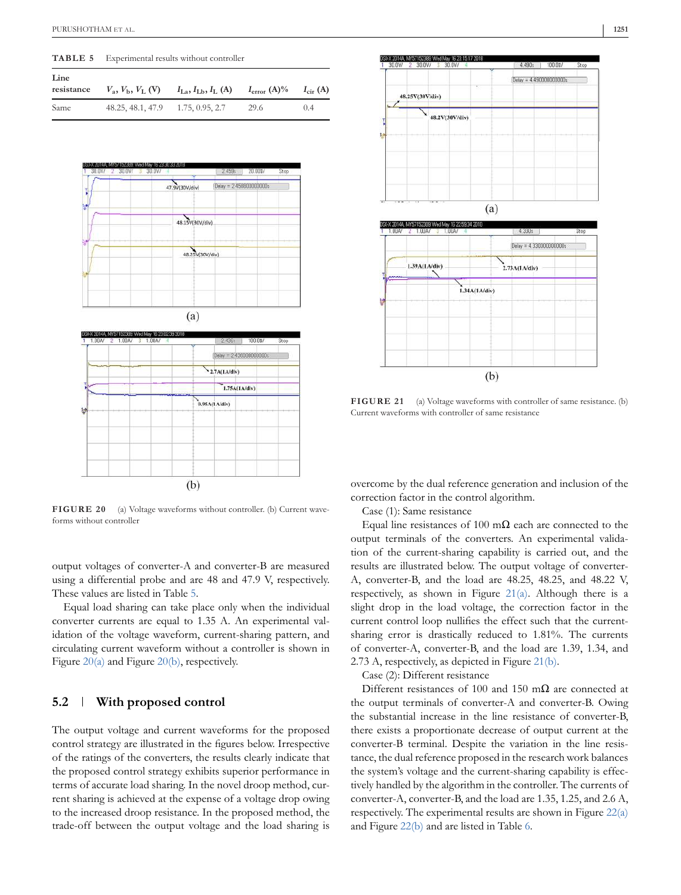#### **TABLE 5** Experimental results without controller

| Line<br>resistance | $V_{\rm a}, V_{\rm b}, V_{\rm L}$ (V) | $I_{\text{La}}, I_{\text{Lb}}, I_{\text{L}}$ (A) | $I_{\rm error}$ (A)% | $I_{\text{cir}}(\text{A})$ |
|--------------------|---------------------------------------|--------------------------------------------------|----------------------|----------------------------|
| Same               | 48.25, 48.1, 47.9 1.75, 0.95, 2.7     |                                                  | 29.6                 | (0.4)                      |



**FIGURE 20** (a) Voltage waveforms without controller. (b) Current waveforms without controller

output voltages of converter-A and converter-B are measured using a differential probe and are 48 and 47.9 V, respectively. These values are listed in Table 5.

Equal load sharing can take place only when the individual converter currents are equal to 1.35 A. An experimental validation of the voltage waveform, current-sharing pattern, and circulating current waveform without a controller is shown in Figure 20(a) and Figure 20(b), respectively.

### **5.2 With proposed control**

The output voltage and current waveforms for the proposed control strategy are illustrated in the figures below. Irrespective of the ratings of the converters, the results clearly indicate that the proposed control strategy exhibits superior performance in terms of accurate load sharing. In the novel droop method, current sharing is achieved at the expense of a voltage drop owing to the increased droop resistance. In the proposed method, the trade-off between the output voltage and the load sharing is



**FIGURE 21** (a) Voltage waveforms with controller of same resistance. (b) Current waveforms with controller of same resistance

overcome by the dual reference generation and inclusion of the correction factor in the control algorithm.

Case (1): Same resistance

Equal line resistances of 100 m $\Omega$  each are connected to the output terminals of the converters. An experimental validation of the current-sharing capability is carried out, and the results are illustrated below. The output voltage of converter-A, converter-B, and the load are 48.25, 48.25, and 48.22 V, respectively, as shown in Figure 21(a). Although there is a slight drop in the load voltage, the correction factor in the current control loop nullifies the effect such that the currentsharing error is drastically reduced to 1.81%. The currents of converter-A, converter-B, and the load are 1.39, 1.34, and 2.73 A, respectively, as depicted in Figure 21(b).

Case (2): Different resistance

Different resistances of 100 and 150 m $\Omega$  are connected at the output terminals of converter-A and converter-B. Owing the substantial increase in the line resistance of converter-B, there exists a proportionate decrease of output current at the converter-B terminal. Despite the variation in the line resistance, the dual reference proposed in the research work balances the system's voltage and the current-sharing capability is effectively handled by the algorithm in the controller. The currents of converter-A, converter-B, and the load are 1.35, 1.25, and 2.6 A, respectively. The experimental results are shown in Figure 22(a) and Figure 22(b) and are listed in Table 6.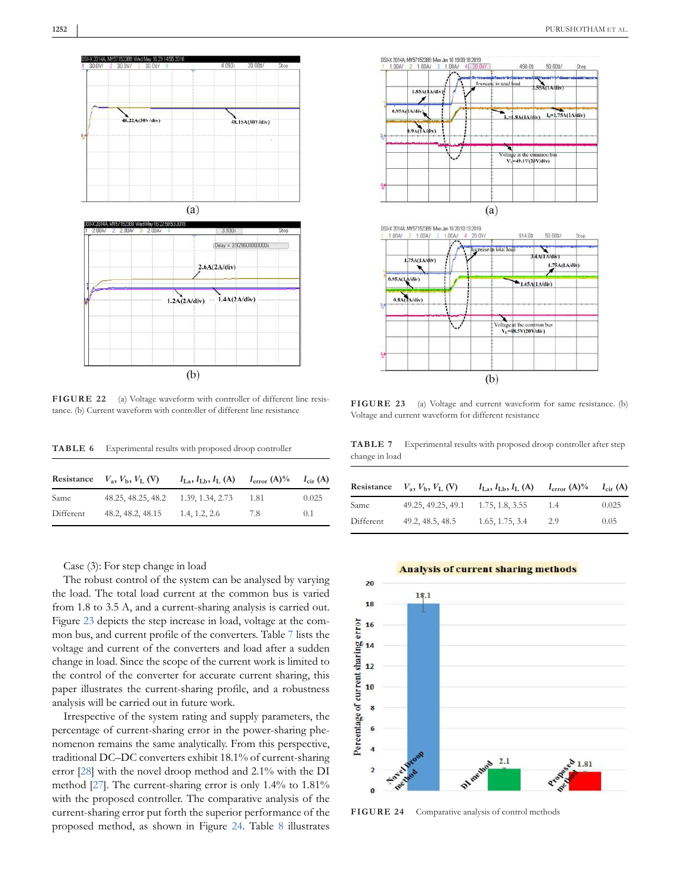

 $(b)$ 

**FIGURE 22** (a) Voltage waveform with controller of different line resistance. (b) Current waveform with controller of different line resistance

**TABLE 6** Experimental results with proposed droop controller

|           | Resistance $V_a$ , $V_b$ , $V_I$ (V) | $I_{\text{La}}, I_{\text{Lb}}, I_{\text{L}}$ (A) | $I_{\rm error}$ (A)% | $I_{\text{cir}}(A)$ |
|-----------|--------------------------------------|--------------------------------------------------|----------------------|---------------------|
| Same      | 48.25, 48.25, 48.2                   | 1.39, 1.34, 2.73                                 | 1.81                 | 0.025               |
| Different | 48.2, 48.2, 48.15                    | 1.4, 1.2, 2.6                                    | 7.8                  | 0.1                 |

Case (3): For step change in load

The robust control of the system can be analysed by varying the load. The total load current at the common bus is varied from 1.8 to 3.5 A, and a current-sharing analysis is carried out. Figure 23 depicts the step increase in load, voltage at the common bus, and current profile of the converters. Table 7 lists the voltage and current of the converters and load after a sudden change in load. Since the scope of the current work is limited to the control of the converter for accurate current sharing, this paper illustrates the current-sharing profile, and a robustness analysis will be carried out in future work.

Irrespective of the system rating and supply parameters, the percentage of current-sharing error in the power-sharing phenomenon remains the same analytically. From this perspective, traditional DC–DC converters exhibit 18.1% of current-sharing error [28] with the novel droop method and 2.1% with the DI method [27]. The current-sharing error is only 1.4% to 1.81% with the proposed controller. The comparative analysis of the current-sharing error put forth the superior performance of the proposed method, as shown in Figure 24. Table 8 illustrates



**FIGURE 23** (a) Voltage and current waveform for same resistance. (b) Voltage and current waveform for different resistance

**TABLE 7** Experimental results with proposed droop controller after step change in load

|           | Resistance $V_a$ , $V_b$ , $V_l$ (V) | $I_{\text{L},a}, I_{\text{L},b}, I_{\text{L}}(\text{A})$ | $I_{\rm error}$ (A)% | $I_{\text{cir}}(\text{A})$ |
|-----------|--------------------------------------|----------------------------------------------------------|----------------------|----------------------------|
| Same      | 49.25, 49.25, 49.1                   | 1.75, 1.8, 3.55                                          | 1.4                  | 0.025                      |
| Different | 49.2, 48.5, 48.5                     | 1.65, 1.75, 3.4                                          | 2.9                  | 0.05                       |



**FIGURE 24** Comparative analysis of control methods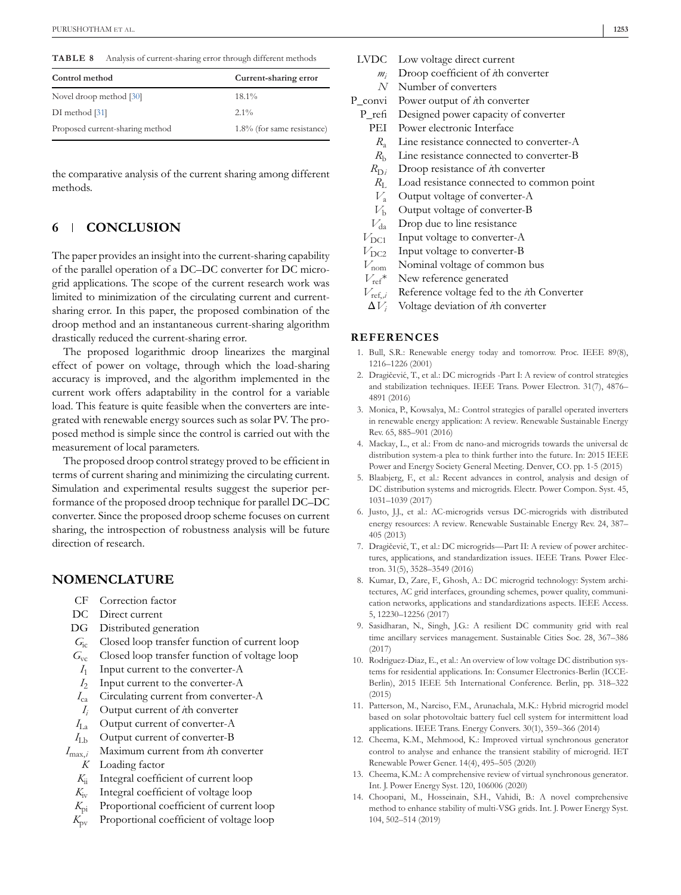**TABLE 8** Analysis of current-sharing error through different methods

| Control method                  | Current-sharing error      |  |
|---------------------------------|----------------------------|--|
| Novel droop method [30]         | $18.1\%$                   |  |
| DI method [31]                  | $2.1\%$                    |  |
| Proposed current-sharing method | 1.8% (for same resistance) |  |

the comparative analysis of the current sharing among different methods.

### **6 CONCLUSION**

The paper provides an insight into the current-sharing capability of the parallel operation of a DC–DC converter for DC microgrid applications. The scope of the current research work was limited to minimization of the circulating current and currentsharing error. In this paper, the proposed combination of the droop method and an instantaneous current-sharing algorithm drastically reduced the current-sharing error.

The proposed logarithmic droop linearizes the marginal effect of power on voltage, through which the load-sharing accuracy is improved, and the algorithm implemented in the current work offers adaptability in the control for a variable load. This feature is quite feasible when the converters are integrated with renewable energy sources such as solar PV. The proposed method is simple since the control is carried out with the measurement of local parameters.

The proposed droop control strategy proved to be efficient in terms of current sharing and minimizing the circulating current. Simulation and experimental results suggest the superior performance of the proposed droop technique for parallel DC–DC converter. Since the proposed droop scheme focuses on current sharing, the introspection of robustness analysis will be future direction of research.

### **NOMENCLATURE**

- CF Correction factor
- DC Direct current
- DG Distributed generation
- *G*ic Closed loop transfer function of current loop
- $G_{vc}$  Closed loop transfer function of voltage loop
- *I*1 Input current to the converter-A
- Input current to the converter-A
- $I_2$ <br> $I_{ca}$  $I_{ca}$  Circulating current from converter-A<br> $I_i$  Output current of *i*th converter
- *I<sup>i</sup>* Output current of *i*th converter
- $I_{\text{La}}$  Output current of converter-A
- 
- $I_{\text{Lb}}$  Output current of converter-B<br> $I_{\text{max},i}$  Maximum current from *i*th con *Maximum current from <i>i*th converter
	- *K* Loading factor
	- $K_{ii}$  Integral coefficient of current loop
	- $K_{iv}$  Integral coefficient of voltage loop
	- *K*pi Proportional coefficient of current loop
	- *K*pv Proportional coefficient of voltage loop

| LVDC            | Low voltage direct current                          |
|-----------------|-----------------------------------------------------|
| $m_i$           | Droop coefficient of <i>i</i> th converter          |
| N               | Number of converters                                |
|                 | P_convi Power output of $\hat{\imath}$ th converter |
|                 | P_refi Designed power capacity of converter         |
| PEI             | Power electronic Interface                          |
| $R_{\circ}$     | Line resistance connected to converter-A            |
| $R_{\rm h}$     | Line resistance connected to converter-B            |
| $R_{\text{D}i}$ | Droop resistance of <i>i</i> th converter           |
| $R_{\rm I}$     | Load resistance connected to common point           |
| $V_{\rm a}$     | Output voltage of converter-A                       |
| V <sub>h</sub>  | Output voltage of converter-B                       |
|                 | $V_{\text{da}}$ Drop due to line resistance         |
| $V_{\rm DC1}$   | Input voltage to converter-A                        |
| $V_{DCD}$       | Input voltage to converter-B                        |

- $V_{\text{DC2}}$  Input voltage to converter-B<br> $V_{\text{nom}}$  Nominal voltage of common
- $V_{\text{nom}}$  Nominal voltage of common bus<br> $V_{\text{ref}}^*$  New reference generated
- $V_{\text{ref}}^*$  New reference generated<br> $V_{\text{ref.},i}$  Reference voltage fed to Reference voltage fed to the *i*th Converter
- Δ*V<sup>i</sup>* Voltage deviation of *i*th converter

### **REFERENCES**

- 1. Bull, S.R.: Renewable energy today and tomorrow. Proc. IEEE 89(8), 1216–1226 (2001)
- 2. Dragičević, T., et al.: DC microgrids -Part I: A review of control strategies and stabilization techniques. IEEE Trans. Power Electron. 31(7), 4876– 4891 (2016)
- 3. Monica, P., Kowsalya, M.: Control strategies of parallel operated inverters in renewable energy application: A review. Renewable Sustainable Energy Rev. 65, 885–901 (2016)
- 4. Mackay, L., et al.: From dc nano-and microgrids towards the universal dc distribution system-a plea to think further into the future. In: 2015 IEEE Power and Energy Society General Meeting. Denver, CO. pp. 1-5 (2015)
- 5. Blaabjerg, F., et al.: Recent advances in control, analysis and design of DC distribution systems and microgrids. Electr. Power Compon. Syst. 45, 1031–1039 (2017)
- 6. Justo, J.J., et al.: AC-microgrids versus DC-microgrids with distributed energy resources: A review. Renewable Sustainable Energy Rev. 24, 387– 405 (2013)
- 7. Dragičević, T., et al.: DC microgrids—Part II: A review of power architectures, applications, and standardization issues. IEEE Trans. Power Electron. 31(5), 3528–3549 (2016)
- 8. Kumar, D., Zare, F., Ghosh, A.: DC microgrid technology: System architectures, AC grid interfaces, grounding schemes, power quality, communication networks, applications and standardizations aspects. IEEE Access. 5, 12230–12256 (2017)
- 9. Sasidharan, N., Singh, J.G.: A resilient DC community grid with real time ancillary services management. Sustainable Cities Soc. 28, 367–386 (2017)
- 10. Rodriguez-Diaz, E., et al.: An overview of low voltage DC distribution systems for residential applications. In: Consumer Electronics-Berlin (ICCE-Berlin), 2015 IEEE 5th International Conference. Berlin, pp. 318–322 (2015)
- 11. Patterson, M., Narciso, F.M., Arunachala, M.K.: Hybrid microgrid model based on solar photovoltaic battery fuel cell system for intermittent load applications. IEEE Trans. Energy Convers. 30(1), 359–366 (2014)
- 12. Cheema, K.M., Mehmood, K.: Improved virtual synchronous generator control to analyse and enhance the transient stability of microgrid. IET Renewable Power Gener. 14(4), 495–505 (2020)
- 13. Cheema, K.M.: A comprehensive review of virtual synchronous generator. Int. J. Power Energy Syst. 120, 106006 (2020)
- 14. Choopani, M., Hosseinain, S.H., Vahidi, B.: A novel comprehensive method to enhance stability of multi-VSG grids. Int. J. Power Energy Syst. 104, 502–514 (2019)